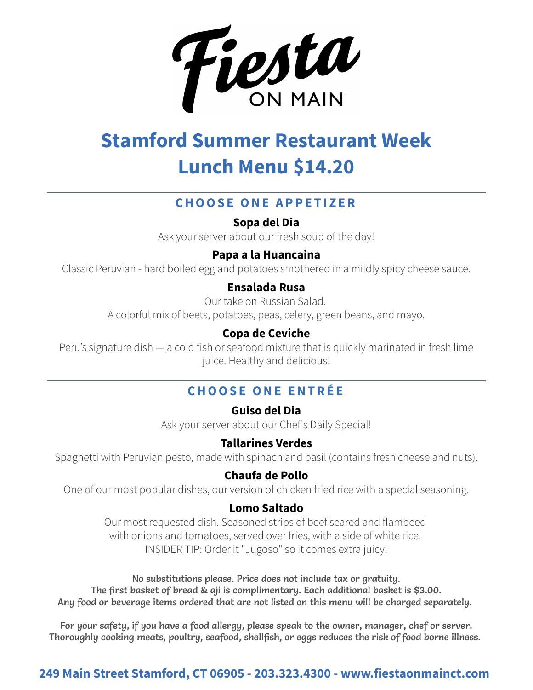

# **Stamford Summer Restaurant Week Lunch Menu \$14.20**

# **CHOOSE ONE APPETIZER**

**Sopa del Dia**

Ask your server about our fresh soup of the day!

## **Papa a la Huancaina**

Classic Peruvian - hard boiled egg and potatoes smothered in a mildly spicy cheese sauce.

## **Ensalada Rusa**

Our take on Russian Salad.

A colorful mix of beets, potatoes, peas, celery, green beans, and mayo.

## **Copa de Ceviche**

Peru's signature dish — a cold fish or seafood mixture that is quickly marinated in fresh lime juice. Healthy and delicious!

# **CHOOSE ONE ENTRÉE**

**Guiso del Dia**

Ask your server about our Chef's Daily Special!

## **Tallarines Verdes**

Spaghetti with Peruvian pesto, made with spinach and basil (contains fresh cheese and nuts).

## **Chaufa de Pollo**

One of our most popular dishes, our version of chicken fried rice with a special seasoning.

### **Lomo Saltado**

Our most requested dish. Seasoned strips of beef seared and flambeed with onions and tomatoes, served over fries, with a side of white rice. INSIDER TIP: Order it "Jugoso" so it comes extra juicy!

No substitutions please. Price does not include tax or gratuity. The first basket of bread & aji is complimentary. Each additional basket is \$3.00. Any food or beverage items ordered that are not listed on this menu will be charged separately.

For your safety, if you have a food allergy, please speak to the owner, manager, chef or server. Thoroughly cooking meats, poultry, seafood, shellfish, or eggs reduces the risk of food borne illness.

## **249 Main Street Stamford, CT 06905 - 203.323.4300 - www.fiestaonmainct.com**